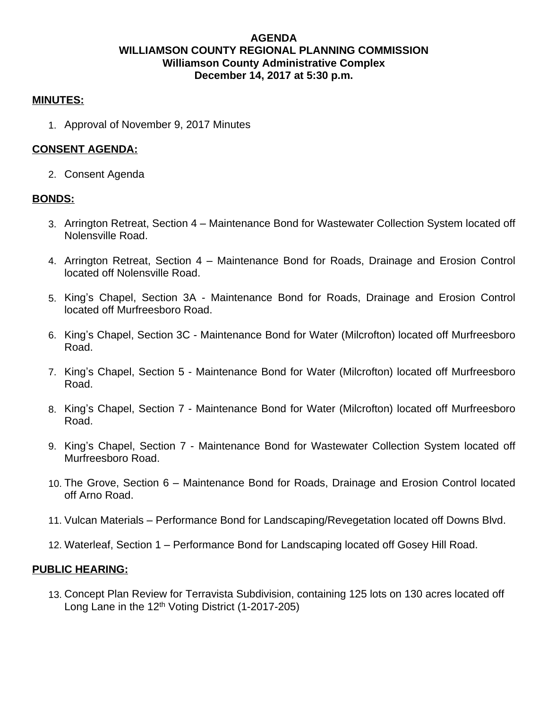## **AGENDA WILLIAMSON COUNTY REGIONAL PLANNING COMMISSION Williamson County Administrative Complex December 14, 2017 at 5:30 p.m.**

#### **MINUTES:**

1. Approval of November 9, 2017 Minutes

## **CONSENT AGENDA:**

2. Consent Agenda

### **BONDS:**

- 3. Arrington Retreat, Section 4 Maintenance Bond for Wastewater Collection System located off Nolensville Road.
- 4. Arrington Retreat, Section 4 Maintenance Bond for Roads, Drainage and Erosion Control located off Nolensville Road.
- 5. King's Chapel, Section 3A Maintenance Bond for Roads, Drainage and Erosion Control located off Murfreesboro Road.
- 6. King's Chapel, Section 3C Maintenance Bond for Water (Milcrofton) located off Murfreesboro Road.
- 7. King's Chapel, Section 5 Maintenance Bond for Water (Milcrofton) located off Murfreesboro Road.
- 8. King's Chapel, Section 7 Maintenance Bond for Water (Milcrofton) located off Murfreesboro Road.
- 9. King's Chapel, Section 7 Maintenance Bond for Wastewater Collection System located off Murfreesboro Road.
- 10. The Grove, Section 6 Maintenance Bond for Roads, Drainage and Erosion Control located off Arno Road.
- 11. Vulcan Materials Performance Bond for Landscaping/Revegetation located off Downs Blvd.
- 12. Waterleaf, Section 1 Performance Bond for Landscaping located off Gosey Hill Road.

### **PUBLIC HEARING:**

13. Concept Plan Review for Terravista Subdivision, containing 125 lots on 130 acres located off Long Lane in the  $12<sup>th</sup>$  Voting District (1-2017-205)